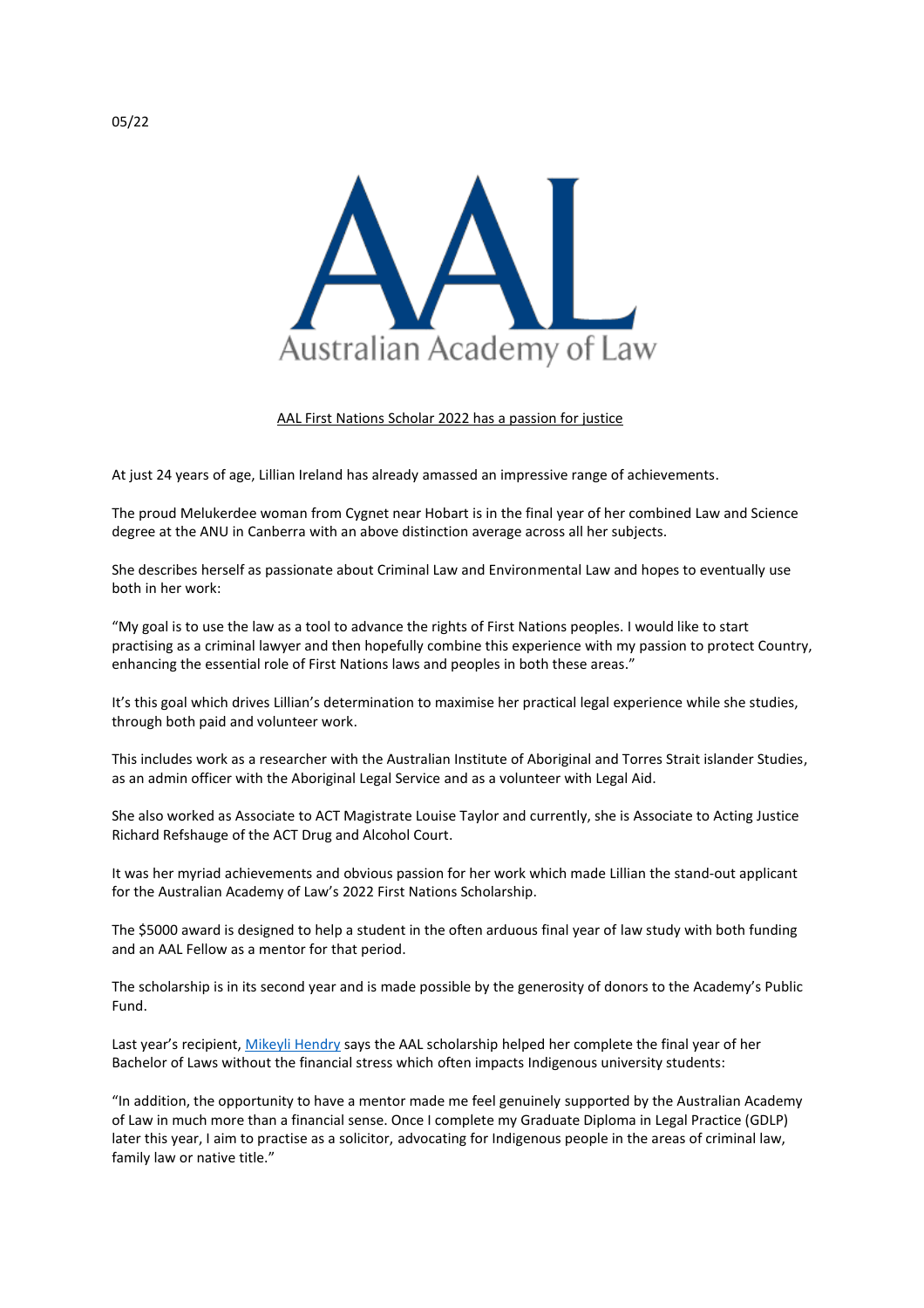

AAL First Nations Scholar 2022 has a passion for justice

At just 24 years of age, Lillian Ireland has already amassed an impressive range of achievements.

The proud Melukerdee woman from Cygnet near Hobart is in the final year of her combined Law and Science degree at the ANU in Canberra with an above distinction average across all her subjects.

She describes herself as passionate about Criminal Law and Environmental Law and hopes to eventually use both in her work:

"My goal is to use the law as a tool to advance the rights of First Nations peoples. I would like to start practising as a criminal lawyer and then hopefully combine this experience with my passion to protect Country, enhancing the essential role of First Nations laws and peoples in both these areas."

It's this goal which drives Lillian's determination to maximise her practical legal experience while she studies, through both paid and volunteer work.

This includes work as a researcher with the Australian Institute of Aboriginal and Torres Strait islander Studies, as an admin officer with the Aboriginal Legal Service and as a volunteer with Legal Aid.

She also worked as Associate to ACT Magistrate Louise Taylor and currently, she is Associate to Acting Justice Richard Refshauge of the ACT Drug and Alcohol Court.

It was her myriad achievements and obvious passion for her work which made Lillian the stand-out applicant for the Australian Academy of Law's 2022 First Nations Scholarship.

The \$5000 award is designed to help a student in the often arduous final year of law study with both funding and an AAL Fellow as a mentor for that period.

The scholarship is in its second year and is made possible by the generosity of donors to the Academy's Public Fund.

Last year's recipient, [Mikeyli Hendry](https://www.academyoflaw.org.au/resources/Documents/AAL%20First%20Nations%20Scholarship%20Media%20Release.pdf) says the AAL scholarship helped her complete the final year of her Bachelor of Laws without the financial stress which often impacts Indigenous university students:

"In addition, the opportunity to have a mentor made me feel genuinely supported by the Australian Academy of Law in much more than a financial sense. Once I complete my Graduate Diploma in Legal Practice (GDLP) later this year, I aim to practise as a solicitor, advocating for Indigenous people in the areas of criminal law, family law or native title."